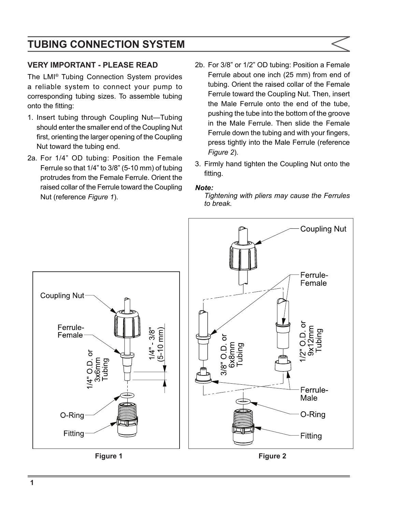# **TUBING CONNECTION SYSTEM**

### **VERY IMPORTANT - PLEASE READ**

The LMI® Tubing Connection System provides a reliable system to connect your pump to corresponding tubing sizes. To assemble tubing onto the fitting:

- 1. Insert tubing through Coupling Nut—Tubing should enter the smaller end of the Coupling Nut first, orienting the larger opening of the Coupling Nut toward the tubing end.
- 2a. For 1/4" OD tubing: Position the Female Ferrule so that 1/4" to 3/8" (5-10 mm) of tubing protrudes from the Female Ferrule. Orient the raised collar of the Ferrule toward the Coupling Nut (reference *Figure 1*).
- 2b. For 3/8" or 1/2" OD tubing: Position a Female Ferrule about one inch (25 mm) from end of tubing. Orient the raised collar of the Female Ferrule toward the Coupling Nut. Then, insert the Male Ferrule onto the end of the tube, pushing the tube into the bottom of the groove in the Male Ferrule. Then slide the Female Ferrule down the tubing and with your fingers, press tightly into the Male Ferrule (reference *Figure 2*).
- 3. Firmly hand tighten the Coupling Nut onto the fitting.

#### *Note:*

*Tightening with pliers may cause the Ferrules to break.*

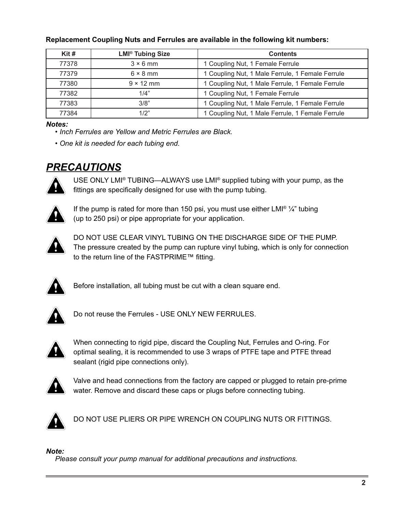| $K$ it# | <b>LMI<sup>®</sup> Tubing Size</b> | <b>Contents</b>                                  |
|---------|------------------------------------|--------------------------------------------------|
| 77378   | $3 \times 6$ mm                    | 1 Coupling Nut, 1 Female Ferrule                 |
| 77379   | $6 \times 8$ mm                    | 1 Coupling Nut, 1 Male Ferrule, 1 Female Ferrule |
| 77380   | $9 \times 12$ mm                   | 1 Coupling Nut, 1 Male Ferrule, 1 Female Ferrule |
| 77382   | 1/4"                               | 1 Coupling Nut, 1 Female Ferrule                 |
| 77383   | 3/8"                               | 1 Coupling Nut, 1 Male Ferrule, 1 Female Ferrule |
| 77384   | 1/2"                               | 1 Coupling Nut, 1 Male Ferrule, 1 Female Ferrule |

#### **Replacement Coupling Nuts and Ferrules are available in the following kit numbers:**

#### *Notes:*

*• Inch Ferrules are Yellow and Metric Ferrules are Black.* 

*• One kit is needed for each tubing end.*

## *PRECAUTIONS*

USE ONLY LMI® TUBING—ALWAYS use LMI® supplied tubing with your pump, as the fittings are specifically designed for use with the pump tubing.



If the pump is rated for more than 150 psi, you must use either LMI<sup>®</sup>  $\frac{1}{4}$ " tubing (up to 250 psi) or pipe appropriate for your application.



DO NOT USE CLEAR VINYL TUBING ON THE DISCHARGE SIDE OF THE PUMP. The pressure created by the pump can rupture vinyl tubing, which is only for connection to the return line of the FASTPRIME™ fitting.



Before installation, all tubing must be cut with a clean square end.



Do not reuse the Ferrules - USE ONLY NEW FERRULES.



When connecting to rigid pipe, discard the Coupling Nut, Ferrules and O-ring. For optimal sealing, it is recommended to use 3 wraps of PTFE tape and PTFE thread sealant (rigid pipe connections only).



Valve and head connections from the factory are capped or plugged to retain pre-prime water. Remove and discard these caps or plugs before connecting tubing.



DO NOT USE PLIERS OR PIPE WRENCH ON COUPLING NUTS OR FITTINGS.

#### *Note:*

*Please consult your pump manual for additional precautions and instructions.*